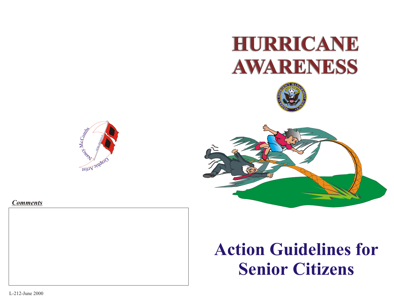









# **Action Guidelines for Senior Citizens**

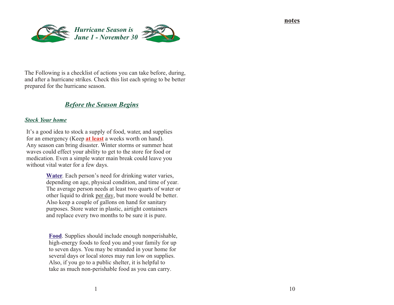**notes**



The Following is a checklist of actions you can take before, during, and after a hurricane strikes. Check this list each spring to be better prepared for the hurricane season.

# *Before the Season Begins*

### *Stock Your home*

It's a good idea to stock a supply of food, water, and supplies for an emergency (Keep **at least** a weeks worth on hand). Any season can bring disaster. Winter storms or summer heat waves could effect your ability to get to the store for food or medication. Even a simple water main break could leave you without vital water for a few days.

> **Water**. Each person's need for drinking water varies, depending on age, physical condition, and time of year. The average person needs at least two quarts of water or other liquid to drink per day, but more would be better. Also keep a couple of gallons on hand for sanitary purposes. Store water in plastic, airtight containers and replace every two months to be sure it is pure.

**Food**. Supplies should include enough nonperishable, high-energy foods to feed you and your family for up to seven days. You may be stranded in your home for several days or local stores may run low on supplies. Also, if you go to a public shelter, it is helpful to take as much non-perishable food as you can carry.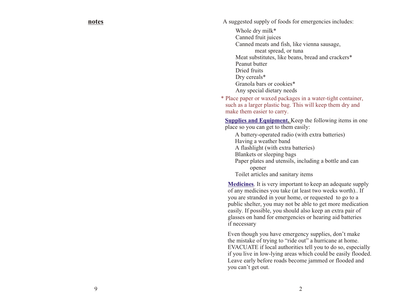#### **notes**

A suggested supply of foods for emergencies includes:

Whole dry milk\* Canned fruit juices Canned meats and fish, like vienna sausage, meat spread, or tuna Meat substitutes, like beans, bread and crackers\* Peanut butter Dried fruits Dry cereals\* Granola bars or cookies\* Any special dietary needs

\* Place paper or waxed packages in a water-tight container, such as a larger plastic bag. This will keep them dry and make them easier to carry.

**Supplies and Equipment.** Keep the following items in one place so you can get to them easily:

A battery-operated radio (with extra batteries) Having a weather band A flashlight (with extra batteries) Blankets or sleeping bags Paper plates and utensils, including a bottle and can opener Toilet articles and sanitary items

**Medicines**. It is very important to keep an adequate supply of any medicines you take (at least two weeks worth).. If you are stranded in your home, or requested to go to a public shelter, you may not be able to get more medication easily. If possible, you should also keep an extra pair of glasses on hand for emergencies or hearing aid batteries if necessary

Even though you have emergency supplies, don't make the mistake of trying to "ride out" a hurricane at home. EVACUATE if local authorities tell you to do so, especially if you live in low-lying areas which could be easily flooded. Leave early before roads become jammed or flooded and you can't get out.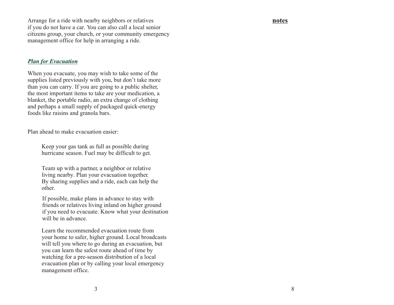Arrange for a ride with nearby neighbors or relatives if you do not have a car. You can also call a local senior citizens group, your church, or your community emergency management office for help in arranging a ride.

#### *Plan for Evacuation*

When you evacuate, you may wish to take some of the supplies listed previously with you, but don't take more than you can carry. If you are going to a public shelter, the most important items to take are your medication, a blanket, the portable radio, an extra change of clothing and perhaps a small supply of packaged quick-energy foods like raisins and granola bars.

Plan ahead to make evacuation easier:

Keep your gas tank as full as possible during hurricane season. Fuel may be difficult to get.

Team up with a partner, a neighbor or relative living nearby. Plan your evacuation together. By sharing supplies and a ride, each can help the other.

If possible, make plans in advance to stay with friends or relatives living inland on higher ground if you need to evacuate. Know what your destination will be in advance.

Learn the recommended evacuation route from your home to safer, higher ground. Local broadcasts will tell you where to go during an evacuation, but you can learn the safest route ahead of time by watching for a pre-season distribution of a local evacuation plan or by calling your local emergency management office.

#### **notes**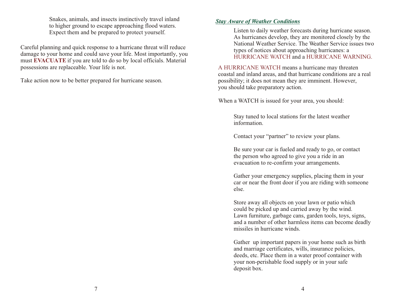Snakes, animals, and insects instinctively travel inland to higher ground to escape approaching flood waters. Expect them and be prepared to protect yourself.

Careful planning and quick response to a hurricane threat will reduce damage to your home and could save your life. Most importantly, you must EVACUATE if you are told to do so by local officials. Material possessions are replaceable. Your life is not.

Take action now to be better prepared for hurricane season.

# *Stay Aware of Weather Conditions*

Listen to daily weather forecasts during hurricane season. As hurricanes develop, they are monitored closely by the National Weather Service. The Weather Service issues two types of notices about approaching hurricanes: a HURRICANE WATCH and a HURRICANE WARNING.

A HURRICANE WATCH means a hurricane may threaten coastal and inland areas, and that hurricane conditions are a real possibility; it does not mean they are imminent. However, you should take preparatory action.

When a WATCH is issued for your area, you should:

Stay tuned to local stations for the latest weather information.

Contact your "partner" to review your plans.

Be sure your car is fueled and ready to go, or contact the person who agreed to give you a ride in an evacuation to re-confirm your arrangements.

Gather your emergency supplies, placing them in your car or near the front door if you are riding with someone else.

Store away all objects on your lawn or patio which could be picked up and carried away by the wind. Lawn furniture, garbage cans, garden tools, toys, signs, and a number of other harmless items can become deadly missiles in hurricane winds.

Gather up important papers in your home such as birth and marriage certificates, wills, insurance policies, deeds, etc. Place them in a water proof container with your non-perishable food supply or in your safe deposit box.